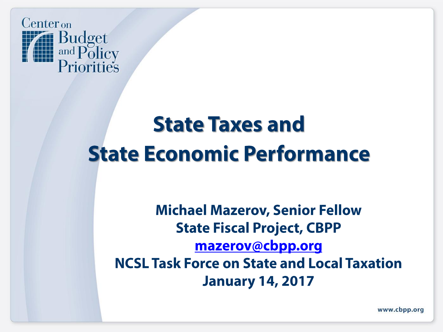

# **State Taxes and State Economic Performance**

**Michael Mazerov, Senior Fellow State Fiscal Project, CBPP** mazerov@cbpp.org **NCSL Task Force on State and Local Taxation January 14, 2017** 

www.cbpp.org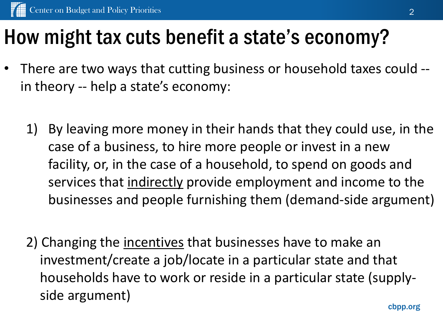## How might tax cuts benefit a state's economy?

- There are two ways that cutting business or household taxes could -in theory -- help a state's economy:
	- 1) By leaving more money in their hands that they could use, in the case of a business, to hire more people or invest in a new facility, or, in the case of a household, to spend on goods and services that indirectly provide employment and income to the businesses and people furnishing them (demand-side argument)
	- 2) Changing the incentives that businesses have to make an investment/create a job/locate in a particular state and that households have to work or reside in a particular state (supplyside argument)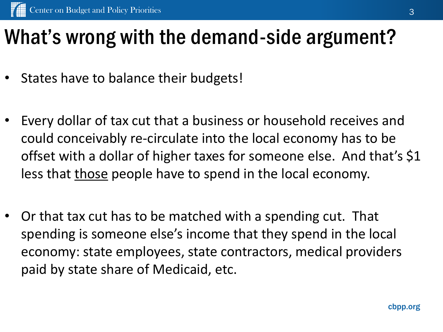## What's wrong with the demand-side argument?

- States have to balance their budgets!
- Every dollar of tax cut that a business or household receives and could conceivably re-circulate into the local economy has to be offset with a dollar of higher taxes for someone else. And that's \$1 less that those people have to spend in the local economy.
- Or that tax cut has to be matched with a spending cut. That spending is someone else's income that they spend in the local economy: state employees, state contractors, medical providers paid by state share of Medicaid, etc.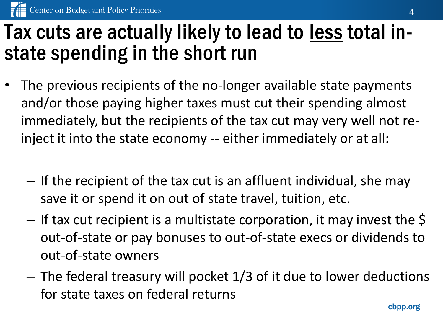#### Tax cuts are actually likely to lead to less total instate spending in the short run

- The previous recipients of the no-longer available state payments and/or those paying higher taxes must cut their spending almost immediately, but the recipients of the tax cut may very well not reinject it into the state economy -- either immediately or at all:
	- If the recipient of the tax cut is an affluent individual, she may save it or spend it on out of state travel, tuition, etc.
	- $-$  If tax cut recipient is a multistate corporation, it may invest the  $\varsigma$ out-of-state or pay bonuses to out-of-state execs or dividends to out-of-state owners
	- The federal treasury will pocket 1/3 of it due to lower deductions for state taxes on federal returns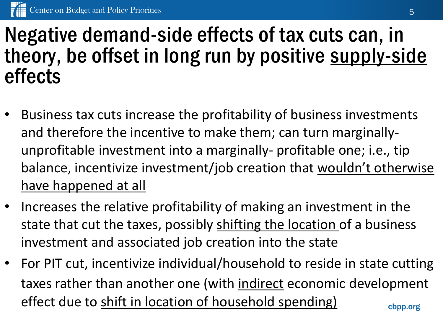### Negative demand-side effects of tax cuts can, in theory, be offset in long run by positive supply-side effects

- Business tax cuts increase the profitability of business investments and therefore the incentive to make them; can turn marginallyunprofitable investment into a marginally- profitable one; i.e., tip balance, incentivize investment/job creation that wouldn't otherwise have happened at all
- Increases the relative profitability of making an investment in the state that cut the taxes, possibly shifting the location of a business investment and associated job creation into the state
- cbpp.org • For PIT cut, incentivize individual/household to reside in state cutting taxes rather than another one (with indirect economic development effect due to shift in location of household spending)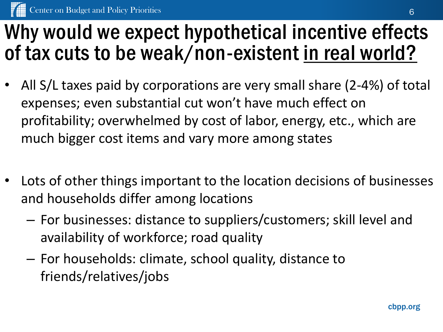## Why would we expect hypothetical incentive effects of tax cuts to be weak/non-existent in real world?

- All S/L taxes paid by corporations are very small share (2-4%) of total expenses; even substantial cut won't have much effect on profitability; overwhelmed by cost of labor, energy, etc., which are much bigger cost items and vary more among states
- Lots of other things important to the location decisions of businesses and households differ among locations
	- For businesses: distance to suppliers/customers; skill level and availability of workforce; road quality
	- For households: climate, school quality, distance to friends/relatives/jobs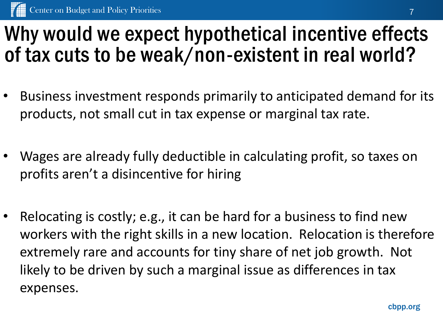### Why would we expect hypothetical incentive effects of tax cuts to be weak/non-existent in real world?

- Business investment responds primarily to anticipated demand for its products, not small cut in tax expense or marginal tax rate.
- Wages are already fully deductible in calculating profit, so taxes on profits aren't a disincentive for hiring
- Relocating is costly; e.g., it can be hard for a business to find new workers with the right skills in a new location. Relocation is therefore extremely rare and accounts for tiny share of net job growth. Not likely to be driven by such a marginal issue as differences in tax expenses.

cbpp.org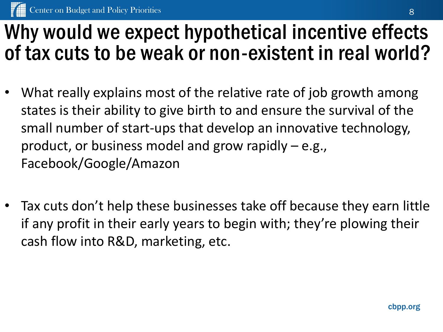### Why would we expect hypothetical incentive effects of tax cuts to be weak or non-existent in real world?

- What really explains most of the relative rate of job growth among states is their ability to give birth to and ensure the survival of the small number of start-ups that develop an innovative technology, product, or business model and grow rapidly – e.g., Facebook/Google/Amazon
- Tax cuts don't help these businesses take off because they earn little if any profit in their early years to begin with; they're plowing their cash flow into R&D, marketing, etc.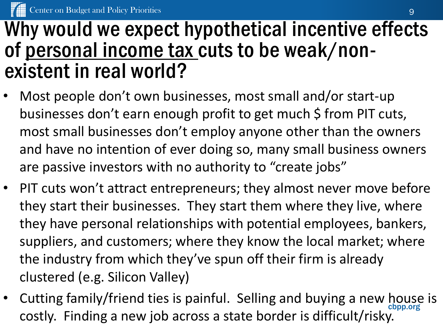#### Why would we expect hypothetical incentive effects of personal income tax cuts to be weak/nonexistent in real world?

- Most people don't own businesses, most small and/or start-up businesses don't earn enough profit to get much \$ from PIT cuts, most small businesses don't employ anyone other than the owners and have no intention of ever doing so, many small business owners are passive investors with no authority to "create jobs"
- PIT cuts won't attract entrepreneurs; they almost never move before they start their businesses. They start them where they live, where they have personal relationships with potential employees, bankers, suppliers, and customers; where they know the local market; where the industry from which they've spun off their firm is already clustered (e.g. Silicon Valley)
- Cutting family/friend ties is painful. Selling and buying a new house is costly. Finding a new job across a state border is difficult/risky.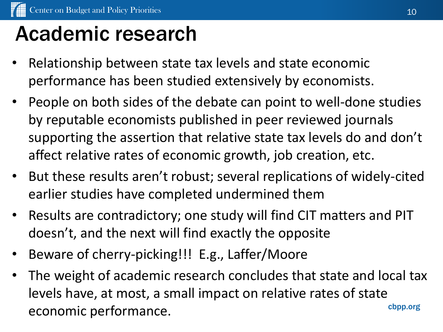## Academic research

- Relationship between state tax levels and state economic performance has been studied extensively by economists.
- People on both sides of the debate can point to well-done studies by reputable economists published in peer reviewed journals supporting the assertion that relative state tax levels do and don't affect relative rates of economic growth, job creation, etc.
- But these results aren't robust; several replications of widely-cited earlier studies have completed undermined them
- Results are contradictory; one study will find CIT matters and PIT doesn't, and the next will find exactly the opposite
- Beware of cherry-picking!!! E.g., Laffer/Moore
- cbpp.org The weight of academic research concludes that state and local tax levels have, at most, a small impact on relative rates of state economic performance.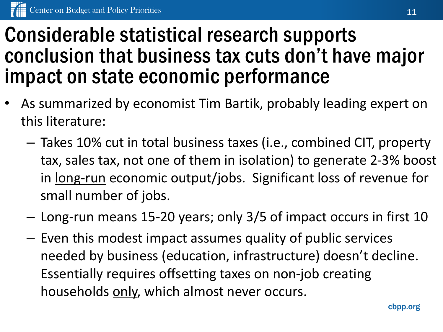### Considerable statistical research supports conclusion that business tax cuts don't have major impact on state economic performance

- As summarized by economist Tim Bartik, probably leading expert on this literature:
	- Takes 10% cut in total business taxes (i.e., combined CIT, property tax, sales tax, not one of them in isolation) to generate 2-3% boost in long-run economic output/jobs. Significant loss of revenue for small number of jobs.
	- Long-run means 15-20 years; only 3/5 of impact occurs in first 10
	- Even this modest impact assumes quality of public services needed by business (education, infrastructure) doesn't decline. Essentially requires offsetting taxes on non-job creating households only, which almost never occurs.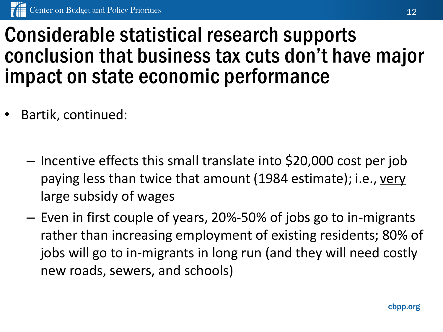#### Considerable statistical research supports conclusion that business tax cuts don't have major impact on state economic performance

- Bartik, continued:
	- Incentive effects this small translate into \$20,000 cost per job paying less than twice that amount (1984 estimate); i.e., very large subsidy of wages
	- Even in first couple of years, 20%-50% of jobs go to in-migrants rather than increasing employment of existing residents; 80% of jobs will go to in-migrants in long run (and they will need costly new roads, sewers, and schools)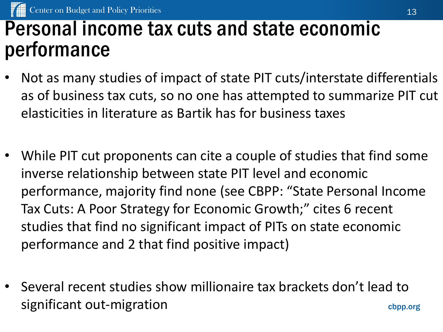### Personal income tax cuts and state economic performance

- Not as many studies of impact of state PIT cuts/interstate differentials as of business tax cuts, so no one has attempted to summarize PIT cut elasticities in literature as Bartik has for business taxes
- While PIT cut proponents can cite a couple of studies that find some inverse relationship between state PIT level and economic performance, majority find none (see CBPP: "State Personal Income Tax Cuts: A Poor Strategy for Economic Growth;" cites 6 recent studies that find no significant impact of PITs on state economic performance and 2 that find positive impact)
- cbpp.org • Several recent studies show millionaire tax brackets don't lead to significant out-migration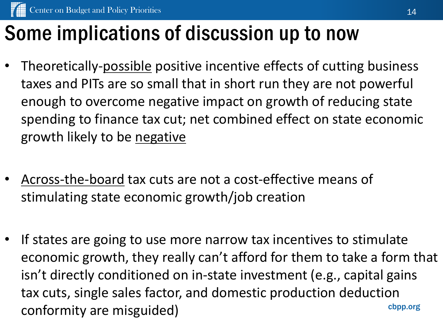# Some implications of discussion up to now

- Theoretically-possible positive incentive effects of cutting business taxes and PITs are so small that in short run they are not powerful enough to overcome negative impact on growth of reducing state spending to finance tax cut; net combined effect on state economic growth likely to be negative
- Across-the-board tax cuts are not a cost-effective means of stimulating state economic growth/job creation
- cbpp.org If states are going to use more narrow tax incentives to stimulate economic growth, they really can't afford for them to take a form that isn't directly conditioned on in-state investment (e.g., capital gains tax cuts, single sales factor, and domestic production deduction conformity are misguided)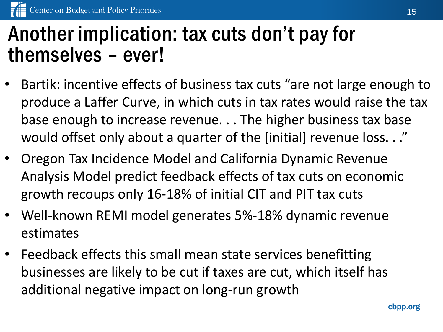### Another implication: tax cuts don't pay for themselves – ever!

- Bartik: incentive effects of business tax cuts "are not large enough to produce a Laffer Curve, in which cuts in tax rates would raise the tax base enough to increase revenue. . . The higher business tax base would offset only about a quarter of the [initial] revenue loss. . ."
- Oregon Tax Incidence Model and California Dynamic Revenue Analysis Model predict feedback effects of tax cuts on economic growth recoups only 16-18% of initial CIT and PIT tax cuts
- Well-known REMI model generates 5%-18% dynamic revenue estimates
- Feedback effects this small mean state services benefitting businesses are likely to be cut if taxes are cut, which itself has additional negative impact on long-run growth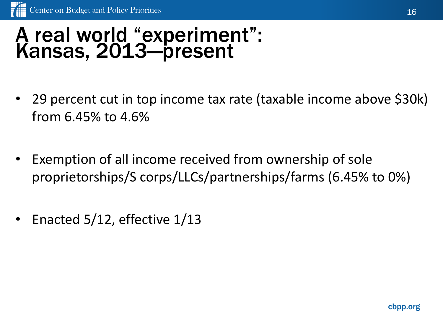#### A real world "experiment": Kansas, 2013—present

- 29 percent cut in top income tax rate (taxable income above \$30k) from 6.45% to 4.6%
- Exemption of all income received from ownership of sole proprietorships/S corps/LLCs/partnerships/farms (6.45% to 0%)
- Enacted 5/12, effective 1/13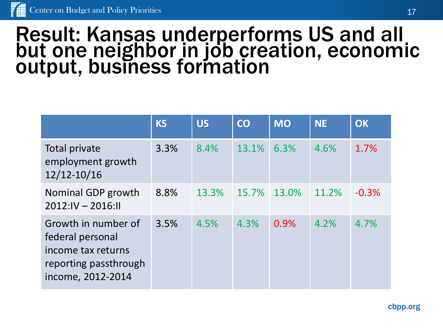#### Result: Kansas underperforms US and all but one neighbor in job creation, economic output, business formation

|                                                                                                             | <b>KS</b> | <b>US</b> | <b>CO</b> | <b>MO</b> | <b>NE</b> | <b>OK</b> |
|-------------------------------------------------------------------------------------------------------------|-----------|-----------|-----------|-----------|-----------|-----------|
| Total private<br>employment growth<br>12/12-10/16                                                           | 3.3%      | 8.4%      | 13.1%     | 6.3%      | 4.6%      | 1.7%      |
| Nominal GDP growth<br>$2012:IV - 2016:II$                                                                   | 8.8%      | 13.3%     | 15.7%     | 13.0%     | 11.2%     | $-0.3%$   |
| Growth in number of<br>federal personal<br>income tax returns<br>reporting passthrough<br>income, 2012-2014 | 3.5%      | 4.5%      | 4.3%      | 0.9%      | 4.2%      | 4.7%      |

cbpp.org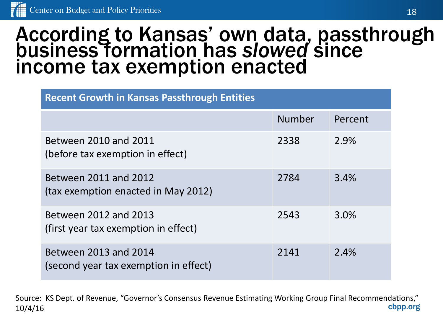#### According to Kansas' own data, passthrough business formation has *slowed* since income tax exemption enacted

| <b>Recent Growth in Kansas Passthrough Entities</b>            |               |         |  |  |  |  |
|----------------------------------------------------------------|---------------|---------|--|--|--|--|
|                                                                | <b>Number</b> | Percent |  |  |  |  |
| Between 2010 and 2011<br>(before tax exemption in effect)      | 2338          | 2.9%    |  |  |  |  |
| Between 2011 and 2012<br>(tax exemption enacted in May 2012)   | 2784          | 3.4%    |  |  |  |  |
| Between 2012 and 2013<br>(first year tax exemption in effect)  | 2543          | 3.0%    |  |  |  |  |
| Between 2013 and 2014<br>(second year tax exemption in effect) | 2141          | 2.4%    |  |  |  |  |

cbpp.org Source: KS Dept. of Revenue, "Governor's Consensus Revenue Estimating Working Group Final Recommendations," 10/4/16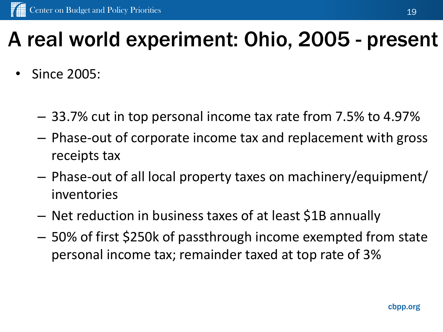## A real world experiment: Ohio, 2005 - present

- Since 2005:
	- 33.7% cut in top personal income tax rate from 7.5% to 4.97%
	- Phase-out of corporate income tax and replacement with gross receipts tax
	- Phase-out of all local property taxes on machinery/equipment/ inventories
	- Net reduction in business taxes of at least \$1B annually
	- 50% of first \$250k of passthrough income exempted from state personal income tax; remainder taxed at top rate of 3%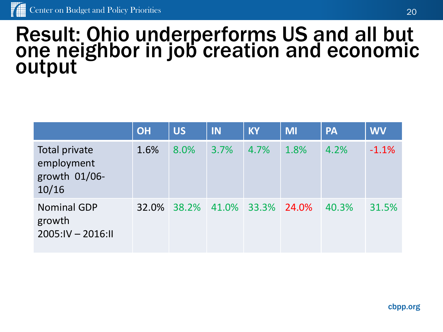#### Result: Ohio underperforms US and all but one neighbor in job creation and economic output

|                                                       | <b>OH</b> | <b>US</b> | IN   | <b>KY</b>         | <b>MI</b> | <b>PA</b> | <b>WV</b> |
|-------------------------------------------------------|-----------|-----------|------|-------------------|-----------|-----------|-----------|
| Total private<br>employment<br>growth 01/06-<br>10/16 | 1.6%      | 8.0%      | 3.7% | 4.7%              | 1.8%      | 4.2%      | $-1.1%$   |
| <b>Nominal GDP</b><br>growth<br>$2005:IV - 2016:II$   | 32.0%     | 38.2%     |      | 41.0% 33.3% 24.0% |           | 40.3%     | 31.5%     |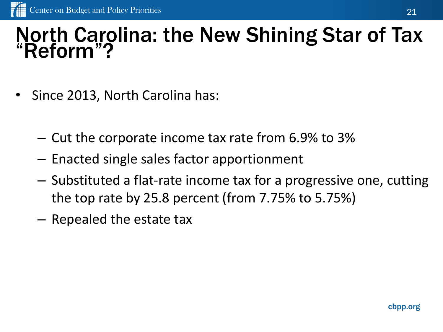#### North Carolina: the New Shining Star of Tax "Reform"?

- Since 2013, North Carolina has:
	- Cut the corporate income tax rate from 6.9% to 3%
	- Enacted single sales factor apportionment
	- Substituted a flat-rate income tax for a progressive one, cutting the top rate by 25.8 percent (from 7.75% to 5.75%)
	- Repealed the estate tax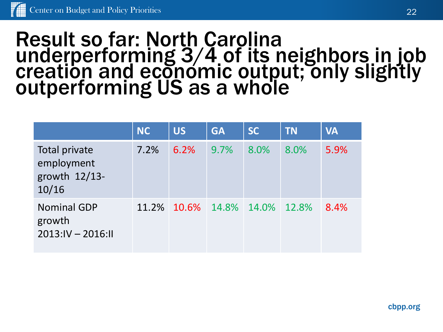#### Result so far: North Carolina underperforming 3/4 of its neighbors in job creation and economic output; only slightly outperforming US as a whole

|                                                       | <b>NC</b> | <b>US</b>                     | <b>GA</b> | <b>SC</b> | <b>TN</b> | <b>VA</b> |
|-------------------------------------------------------|-----------|-------------------------------|-----------|-----------|-----------|-----------|
| Total private<br>employment<br>growth 12/13-<br>10/16 | 7.2%      | 6.2%                          | 9.7%      | 8.0%      | 8.0%      | 5.9%      |
| <b>Nominal GDP</b><br>growth<br>$2013:IV - 2016:II$   |           | 11.2% 10.6% 14.8% 14.0% 12.8% |           |           |           | 8.4%      |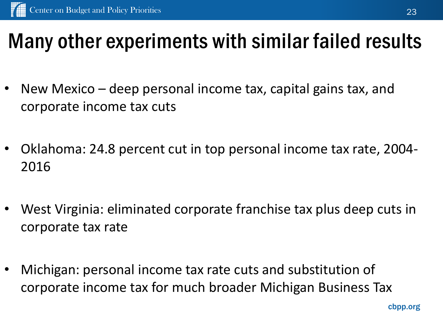## Many other experiments with similar failed results

- New Mexico deep personal income tax, capital gains tax, and corporate income tax cuts
- Oklahoma: 24.8 percent cut in top personal income tax rate, 2004- 2016
- West Virginia: eliminated corporate franchise tax plus deep cuts in corporate tax rate
- Michigan: personal income tax rate cuts and substitution of corporate income tax for much broader Michigan Business Tax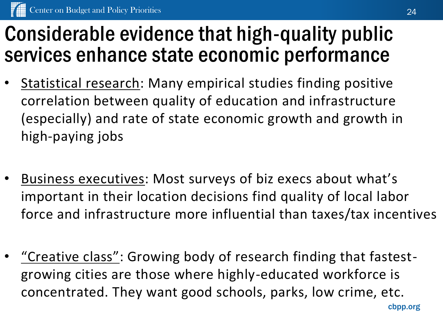## Considerable evidence that high-quality public services enhance state economic performance

- Statistical research: Many empirical studies finding positive correlation between quality of education and infrastructure (especially) and rate of state economic growth and growth in high-paying jobs
- Business executives: Most surveys of biz execs about what's important in their location decisions find quality of local labor force and infrastructure more influential than taxes/tax incentives
- "Creative class": Growing body of research finding that fastestgrowing cities are those where highly-educated workforce is concentrated. They want good schools, parks, low crime, etc.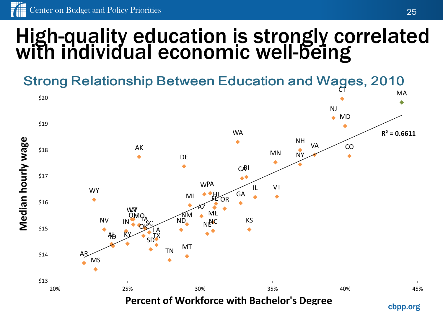#### High-quality education is strongly correlated with individual economic well-being



25